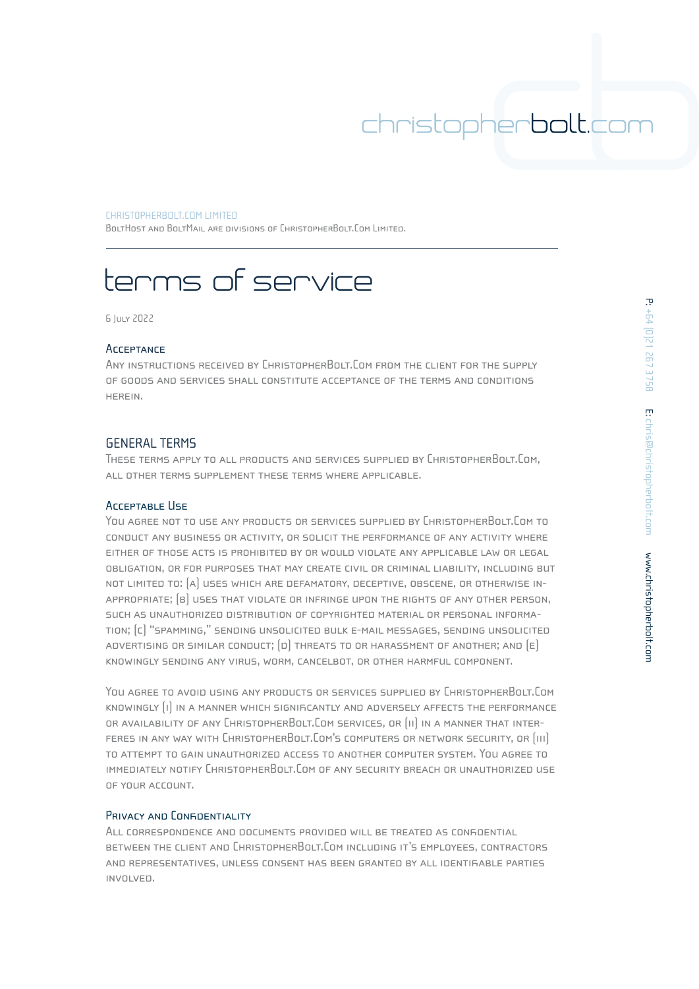#### CHRIST0PHERBOLT.COM LIMITED

BOLTHOST AND BOLTMAIL ARE DIVISIONS OF CHRISTOPHERBOLT.COM LIMITED.

# terms of service

6 July 2022

#### **ACCEPTANCE**

Any instructions received by ChristopherBolt.Com from the client for the supply of goods and services shall constitute acceptance of the terms and conditions herein.

## GENERAL TERMS

These terms apply to all products and services supplied by ChristopherBolt.Com, all other terms supplement these terms where applicable.

### Acceptable Use

You AGREE NOT TO USE ANY PRODUCTS OR SERVICES SUPPLIED BY CHRISTOPHERBOLT.COM TO conduct any business or activity, or solicit the performance of any activity where either of those acts is prohibited by or would violate any applicable law or legal obligation, or for purposes that may create civil or criminal liability, including but not limited to: (a) uses which are defamatory, deceptive, obscene, or otherwise inappropriate; (b) uses that violate or infringe upon the rights of any other person, such as unauthorized distribution of copyrighted material or personal information; (c) "spamming," sending unsolicited bulk e-mail messages, sending unsolicited ADVERTISING OR SIMILAR CONDUCT;  $[D]$  threats to or harassment of another; and  $[E]$ knowingly sending any virus, worm, cancelbot, or other harmful component.

You agree to avoid using any products or services supplied by ChristopherBolt.Com knowingly (i) in a manner which significantly and adversely affects the performance or availability of any ChristopherBolt.Com services, or (ii) in a manner that interferes in any way with ChristopherBolt.Com's computers or network security, or (iii) to attempt to gain unauthorized access to another computer system. You agree to immediately notify ChristopherBolt.Com of any security breach or unauthorized use of your account.

## PRIVACY AND CONFIDENTIALITY

All correspondence and documents provided will be treated as confidential between the client and ChristopherBolt.Com including it's employees, contractors and representatives, unless consent has been granted by all identifiable parties involved.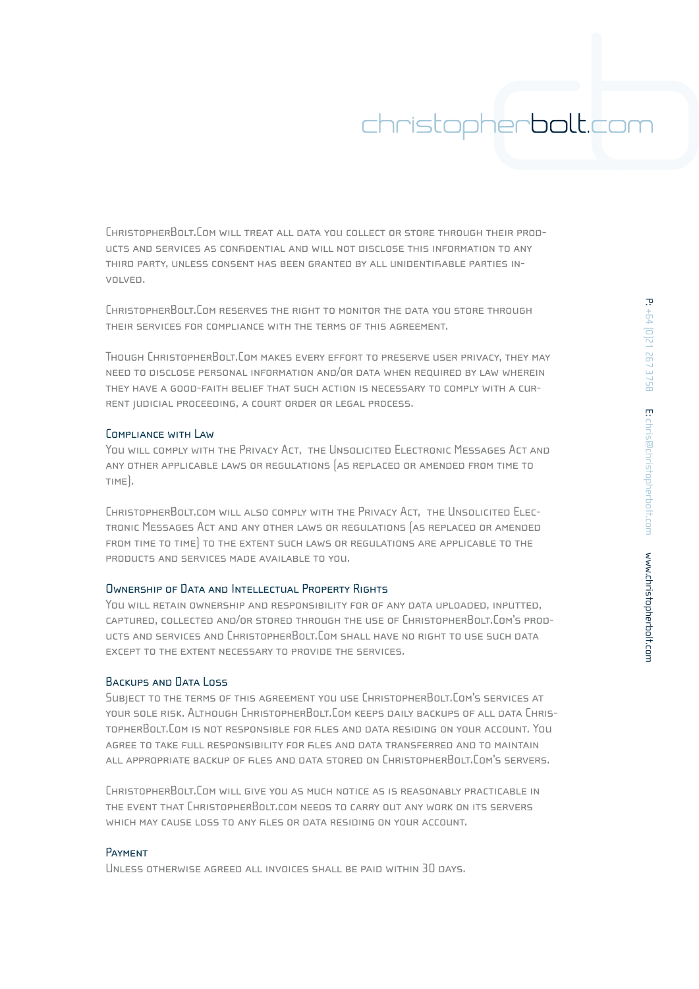ChristopherBolt.Com will treat all data you collect or store through their products and services as confidential and will not disclose this information to any third party, unless consent has been granted by all unidentifiable parties involved.

ChristopherBolt.Com reserves the right to monitor the data you store through their services for compliance with the terms of this agreement.

Though ChristopherBolt.Com makes every effort to preserve user privacy, they may need to disclose personal information and/or data when required by law wherein they have a good-faith belief that such action is necessary to comply with a current judicial proceeding, a court order or legal process.

## Compliance with Law

You will comply with the Privacy Act, the Unsolicited Electronic Messages Act and any other applicable laws or regulations (as replaced or amended from time to time).

ChristopherBolt.com will also comply with the Privacy Act, the Unsolicited Electronic Messages Act and any other laws or regulations (as replaced or amended from time to time) to the extent such laws or regulations are applicable to the products and services made available to you.

## Ownership of Data and Intellectual Property Rights

You will retain ownership and responsibility for of any data uploaded, inputted, captured, collected and/or stored through the use of ChristopherBolt.Com's products and services and ChristopherBolt.Com shall have no right to use such data except to the extent necessary to provide the services.

#### BACKUPS AND DATA LOSS

Subject to the terms of this agreement you use ChristopherBolt.Com's services at your sole risk. Although ChristopherBolt.Com keeps daily backups of all data ChristopherBolt.Com is not responsible for files and data residing on your account. You agree to take full responsibility for files and data transferred and to maintain all appropriate backup of files and data stored on ChristopherBolt.Com's servers.

ChristopherBolt.Com will give you as much notice as is reasonably practicable in the event that ChristopherBolt.com needs to carry out any work on its servers which may cause loss to any files or data residing on your account.

#### Payment

Unless otherwise agreed all invoices shall be paid within 30 days.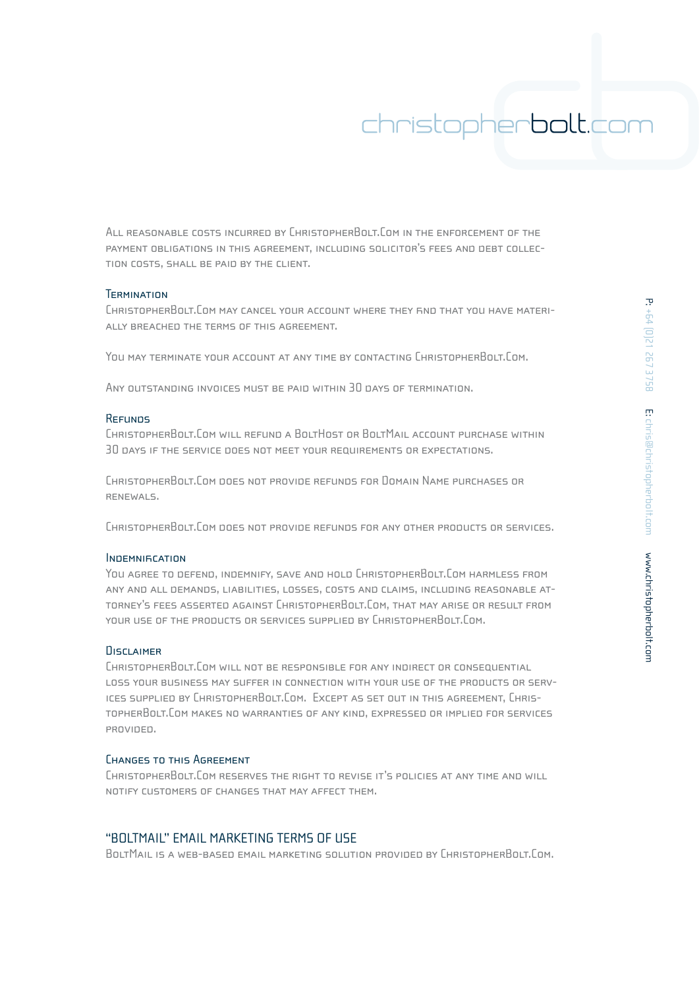All reasonable costs incurred by ChristopherBolt.Com in the enforcement of the payment obligations in this agreement, including solicitor's fees and debt collection costs, shall be paid by the client.

#### **TERMINATION**

ChristopherBolt.Com may cancel your account where they find that you have materially breached the terms of this agreement.

YOU MAY TERMINATE YOUR ACCOUNT AT ANY TIME BY CONTACTING CHRISTOPHERBOLT.COM.

ANY OUTSTANDING INVOICES MUST BE PAID WITHIN 30 DAYS OF TERMINATION.

## **REFUNDS**

ChristopherBolt.Com will refund a BoltHost or BoltMail account purchase within 30 days if the service does not meet your requirements or expectations.

ChristopherBolt.Com does not provide refunds for Domain Name purchases or renewals.

ChristopherBolt.Com does not provide refunds for any other products or services.

#### INDEMNIFICATION

You agree to defend, indemnify, save and hold ChristopherBolt.Com harmless from any and all demands, liabilities, losses, costs and claims, including reasonable attorney's fees asserted against ChristopherBolt.Com, that may arise or result from your use of the products or services supplied by ChristopherBolt.Com.

#### DISCLAIMER

ChristopherBolt.Com will not be responsible for any indirect or consequential loss your business may suffer in connection with your use of the products or services supplied by ChristopherBolt.Com. Except as set out in this agreement, ChristopherBolt.Com makes no warranties of any kind, expressed or implied for services provided.

#### Changes to this Agreement

ChristopherBolt.Com reserves the right to revise it's policies at any time and will notify customers of changes that may affect them.

## "BOLTMAIL" EMAIL MARKETING TERMS OF USE

BoltMail is a web-based email marketing solution provided by ChristopherBolt.Com.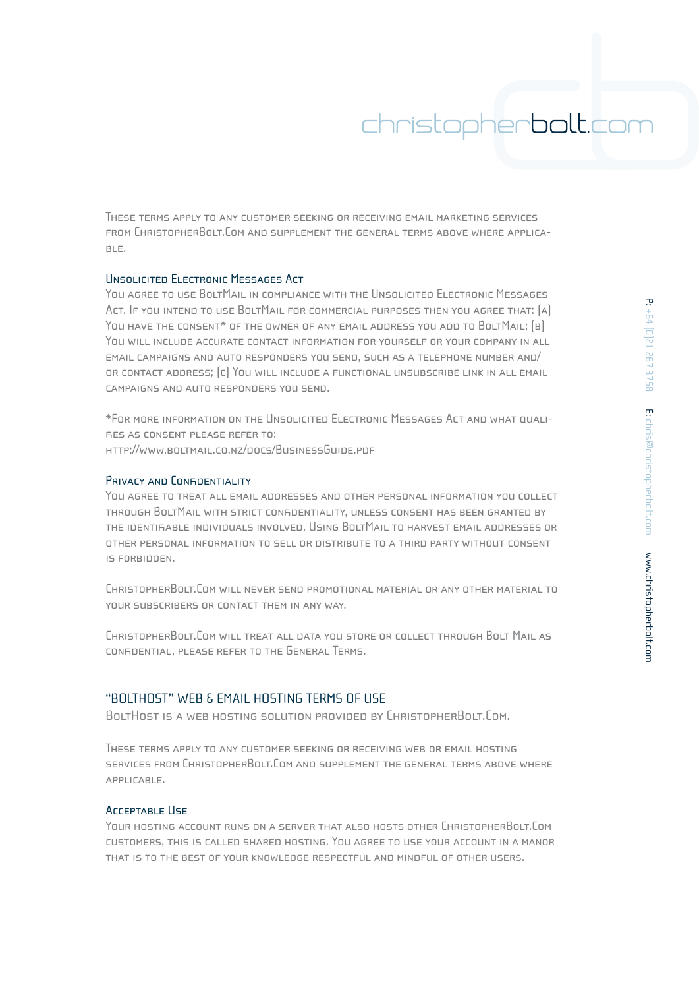These terms apply to any customer seeking or receiving email marketing services from ChristopherBolt.Com and supplement the general terms above where applicable.

## Unsolicited Electronic Messages Act

You agree to use BoltMail in compliance with the Unsolicited Electronic Messages Act. If you intend to use BoltMail for commercial purposes then you agree that: (a) YOU HAVE THE CONSENT<sup>\*</sup> OF THE OWNER OF ANY EMAIL ADDRESS YOU ADD TO BOLTMAIL; (B) YOU WILL INCLUDE ACCURATE CONTACT INFORMATION FOR YOURSELF OR YOUR COMPANY IN ALL email campaigns and auto responders you send, such as a telephone number and/ or contact address; (c) You will include a functional unsubscribe link in all email campaigns and auto responders you send.

\*For more information on the Unsolicited Electronic Messages Act and what qualifies as consent please refer to: http://www.boltmail.co.nz/docs/BusinessGuide.pdf

## PRIVACY AND CONFIDENTIAL ITY

You agree to treat all email addresses and other personal information you collect through BoltMail with strict confidentiality, unless consent has been granted by the identifiable individuals involved. Using BoltMail to harvest email addresses or other personal information to sell or distribute to a third party without consent is forbidden.

ChristopherBolt.Com will never send promotional material or any other material to your subscribers or contact them in any way.

ChristopherBolt.Com will treat all data you store or collect through Bolt Mail as confidential, please refer to the General Terms.

## "BOLTHOST" WEB & EMAIL HOSTING TERMS OF USE

BoltHost is a web hosting solution provided by ChristopherBolt.Com.

These terms apply to any customer seeking or receiving web or email hosting services from ChristopherBolt.Com and supplement the general terms above where applicable.

#### Acceptable Use

Your hosting account runs on a server that also hosts other ChristopherBolt.Com customers, this is called shared hosting. You agree to use your account in a manor that is to the best of your knowledge respectful and mindful of other users.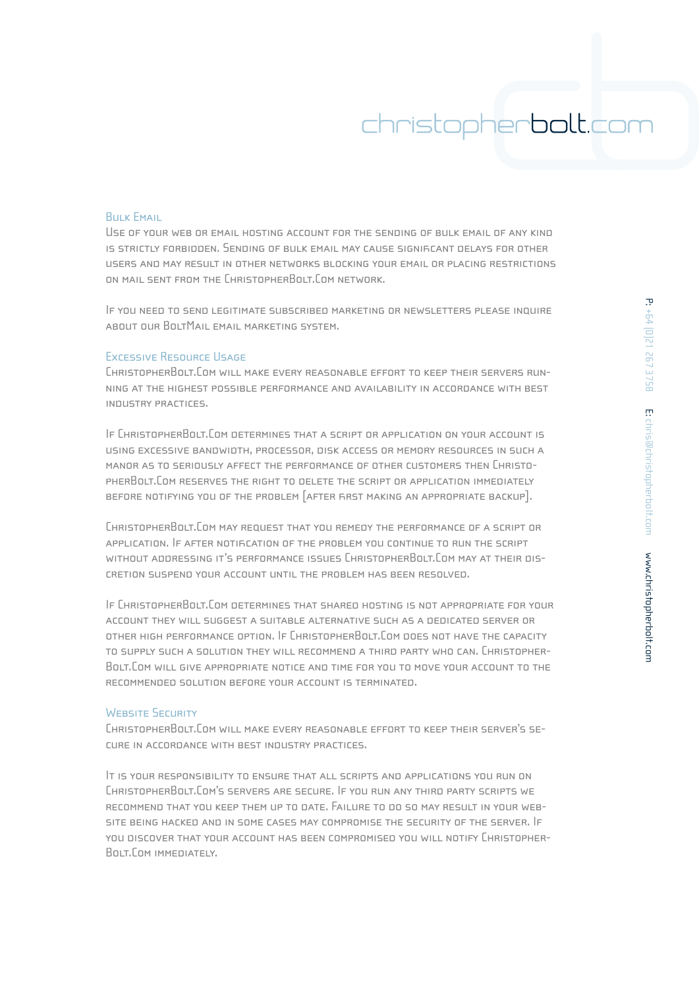### **BULK EMAIL**

Use of your web or email hosting account for the sending of bulk email of any kind is strictly forbidden. Sending of bulk email may cause significant delays for other users and may result in other networks blocking your email or placing restrictions on mail sent from the ChristopherBolt.Com network.

If you need to send legitimate subscribed marketing or newsletters please inquire about our BoltMail email marketing system.

## Excessive Resource Usage

ChristopherBolt.Com will make every reasonable effort to keep their servers running at the highest possible performance and availability in accordance with best industry practices.

If ChristopherBolt.Com determines that a script or application on your account is using excessive bandwidth, processor, disk access or memory resources in such a manor as to seriously affect the performance of other customers then ChristopherBolt.Com reserves the right to delete the script or application immediately before notifying you of the problem [after first making an appropriate backup].

ChristopherBolt.Com may request that you remedy the performance of a script or application. If after notification of the problem you continue to run the script without addressing it's performance issues ChristopherBolt.Com may at their discretion suspend your account until the problem has been resolved.

If ChristopherBolt.Com determines that shared hosting is not appropriate for your account they will suggest a suitable alternative such as a dedicated server or other high performance option. If ChristopherBolt.Com does not have the capacity to supply such a solution they will recommend a third party who can. Christopher-Bolt.Com will give appropriate notice and time for you to move your account to the recommended solution before your account is terminated.

## WEBSITE SECURITY

ChristopherBolt.Com will make every reasonable effort to keep their server's secure in accordance with best industry practices.

It is your responsibility to ensure that all scripts and applications you run on ChristopherBolt.Com's servers are secure. If you run any third party scripts we recommend that you keep them up to date. Failure to do so may result in your website being hacked and in some cases may compromise the security of the server. If you discover that your account has been compromised you will notify Christopher-Bolt.Com immediately.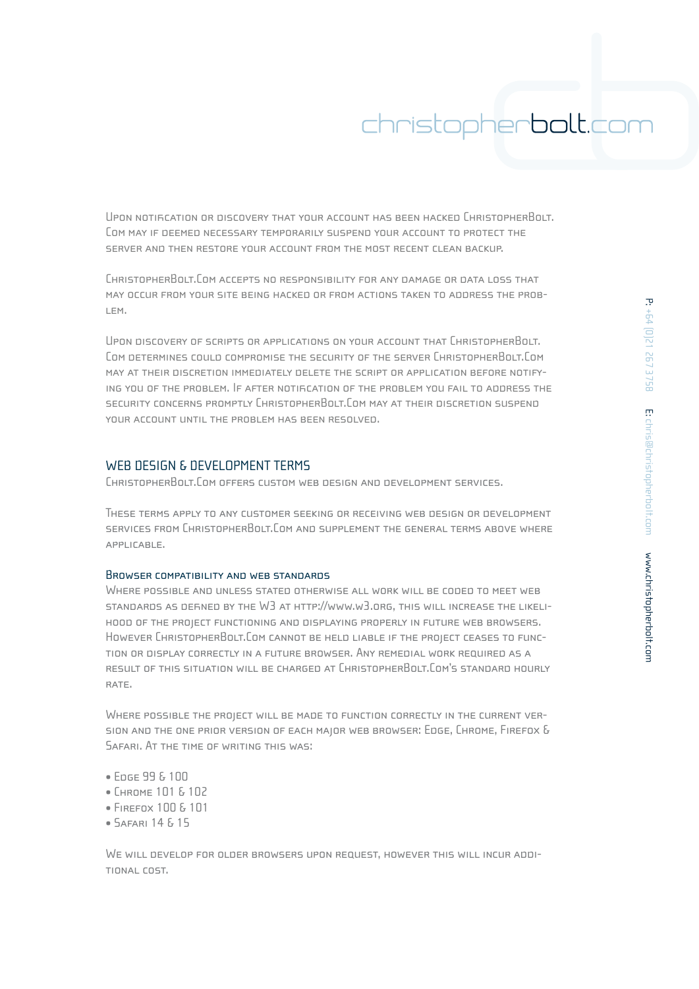Upon notification or discovery that your account has been hacked ChristopherBolt. Com may if deemed necessary temporarily suspend your account to protect the server and then restore your account from the most recent clean backup.

ChristopherBolt.Com accepts no responsibility for any damage or data loss that may occur from your site being hacked or from actions taken to address the problem.

Upon discovery of scripts or applications on your account that ChristopherBolt. Com determines could compromise the security of the server ChristopherBolt.Com may at their discretion immediately delete the script or application before notifying you of the problem. If after notification of the problem you fail to address the security concerns promptly ChristopherBolt.Com may at their discretion suspend your account until the problem has been resolved.

## WEB DESIGN & DEVELOPMENT TERMS

ChristopherBolt.Com offers custom web design and development services.

These terms apply to any customer seeking or receiving web design or development services from ChristopherBolt.Com and supplement the general terms above where applicable.

### Browser compatibility and web standards

WHERE POSSIBLE AND UNLESS STATED OTHERWISE ALL WORK WILL BE CODED TO MEET WEB standards as defined by the W3 at http://www.w3.org, this will increase the likelihood of the project functioning and displaying properly in future web browsers. However ChristopherBolt.Com cannot be held liable if the project ceases to function or display correctly in a future browser. Any remedial work required as a result of this situation will be charged at ChristopherBolt.Com's standard hourly RATE.

Where possible the project will be made to function correctly in the current version and the one prior version of each major web browser: Edge, Chrome, Firefox & Safari. At the time of writing this was:

- Edge 99 & 100
- Chrome 101 & 102
- Firefox 100 & 101
- Safari 14 & 15

We will develop for older browsers upon request, however this will incur additional cost.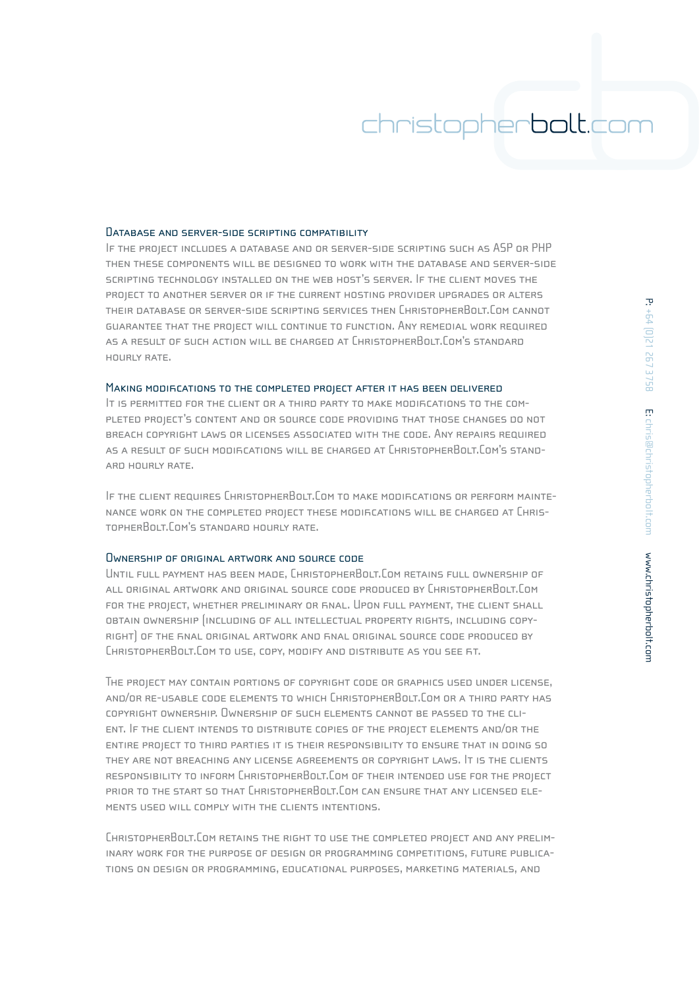#### DATABASE AND SERVER-SIDE SCRIPTING COMPATIBILITY

If the project includes a database and or server-side scripting such as ASP or PHP then these components will be designed to work with the database and server-side scripting technology installed on the web host's server. If the client moves the project to another server or if the current hosting provider upgrades or alters their database or server-side scripting services then ChristopherBolt.Com cannot guarantee that the project will continue to function. Any remedial work required as a result of such action will be charged at ChristopherBolt.Com's standard hourly rate.

#### MAKING MODIFICATIONS TO THE COMPLETED PROJECT AFTER IT HAS BEEN DELIVERED

It is permitted for the client or a third party to make modifications to the completed project's content and or source code providing that those changes do not breach copyright laws or licenses associated with the code. Any repairs required as a result of such modifications will be charged at ChristopherBolt.Com's standard hourly rate.

If the client requires ChristopherBolt.Com to make modifications or perform maintenance work on the completed project these modifications will be charged at ChristopherBolt.Com's standard hourly rate.

#### Ownership of original artwork and source code

Until full payment has been made, ChristopherBolt.Com retains full ownership of all original artwork and original source code produced by ChristopherBolt.Com for the project, whether preliminary or final. Upon full payment, the client shall obtain ownership (including of all intellectual property rights, including copyright) of the final original artwork and final original source code produced by ChristopherBolt.Com to use, copy, modify and distribute as you see fit.

The project may contain portions of copyright code or graphics used under license, and/or re-usable code elements to which ChristopherBolt.Com or a third party has copyright ownership. Ownership of such elements cannot be passed to the client. If the client intends to distribute copies of the project elements and/or the entire project to third parties it is their responsibility to ensure that in doing so they are not breaching any license agreements or copyright laws. It is the clients responsibility to inform ChristopherBolt.Com of their intended use for the project prior to the start so that ChristopherBolt.Com can ensure that any licensed elements used will comply with the clients intentions.

ChristopherBolt.Com retains the right to use the completed project and any preliminary work for the purpose of design or programming competitions, future publications on design or programming, educational purposes, marketing materials, and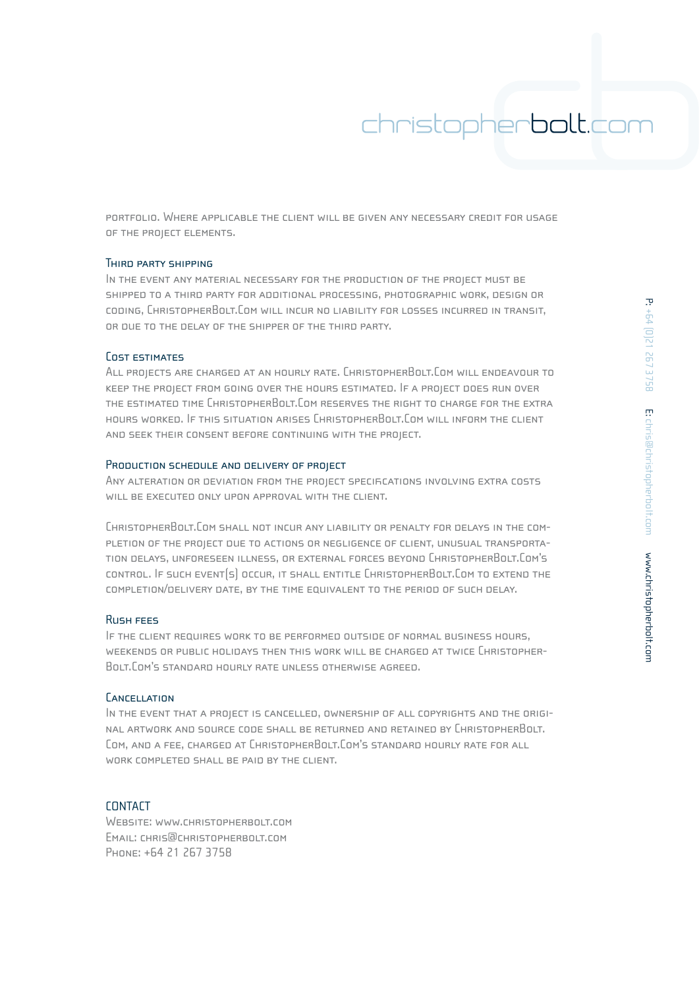portfolio. Where applicable the client will be given any necessary credit for usage of the project elements.

## Third party shipping

In the event any material necessary for the production of the project must be shipped to a third party for additional processing, photographic work, design or coding, ChristopherBolt.Com will incur no liability for losses incurred in transit, or due to the delay of the shipper of the third party.

## Cost estimates

All projects are charged at an hourly rate. ChristopherBolt.Com will endeavour to keep the project from going over the hours estimated. If a project does run over the estimated time ChristopherBolt.Com reserves the right to charge for the extra hours worked. If this situation arises ChristopherBolt.Com will inform the client and seek their consent before continuing with the project.

#### PRODUCTION SCHEDULE AND DELIVERY OF PROJECT

ANY ALTERATION OR DEVIATION FROM THE PROJECT SPECIFICATIONS INVOLVING EXTRA COSTS will be executed only upon approval with the client.

ChristopherBolt.Com shall not incur any liability or penalty for delays in the completion of the project due to actions or negligence of client, unusual transportation delays, unforeseen illness, or external forces beyond ChristopherBolt.Com's control. If such event(s) occur, it shall entitle ChristopherBolt.Com to extend the completion/delivery date, by the time equivalent to the period of such delay.

### Rush fees

If the client requires work to be performed outside of normal business hours, weekends or public holidays then this work will be charged at twice Christopher-Bolt.Com's standard hourly rate unless otherwise agreed.

#### **CANCELLATION**

In the event that a project is cancelled, ownership of all copyrights and the original artwork and source code shall be returned and retained by ChristopherBolt. Com, and a fee, charged at ChristopherBolt.Com's standard hourly rate for all WORK COMPLETED SHALL BE PAID BY THE CLIENT.

## **CONTACT**

Website: www.christopherbolt.com Email: chris@christopherbolt.com Phone: +64 21 267 3758